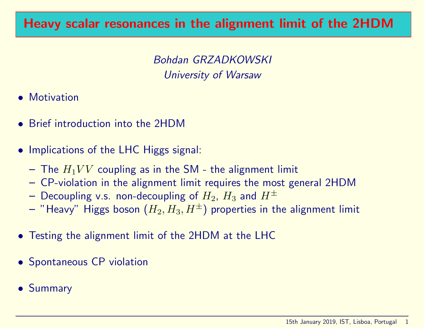# Heavy scalar resonances in the alignment limit of the 2HDM

Bohdan GRZADKOWSKI University of Warsaw

- Motivation
- Brief introduction into the 2HDM
- Implications of the LHC Higgs signal:
	- The  $H_1VV$  coupling as in the SM the alignment limit
	- CP-violation in the alignment limit requires the most general 2HDM
	- Decoupling v.s. non-decoupling of  $H_2$ ,  $H_3$  and  $H^{\pm}$
	- "Heavy" Higgs boson  $(H_2, H_3, H^{\pm})$  properties in the alignment limit
- Testing the alignment limit of the 2HDM at the LHC
- Spontaneous CP violation
- Summary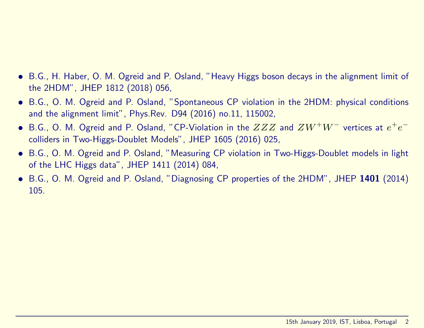#### • B.G., H. Haber, O. M. Ogreid and P. Osland, "Heavy Higgs boson decays in the alignment limit of the 2HDM", JHEP 1812 (2018) 056,

- B.G., O. M. Ogreid and P. Osland, "Spontaneous CP violation in the 2HDM: physical conditions and the alignment limit", Phys.Rev. D94 (2016) no.11, 115002,
- B.G., O. M. Ogreid and P. Osland, "CP-Violation in the  $ZZZ$  and  $ZW^+W^-$  vertices at  $e^+e^$ colliders in Two-Higgs-Doublet Models", JHEP 1605 (2016) 025,
- B.G., O. M. Ogreid and P. Osland, "Measuring CP violation in Two-Higgs-Doublet models in light of the LHC Higgs data", JHEP 1411 (2014) 084,
- B.G., O. M. Ogreid and P. Osland, "Diagnosing CP properties of the 2HDM", JHEP 1401 (2014) 105.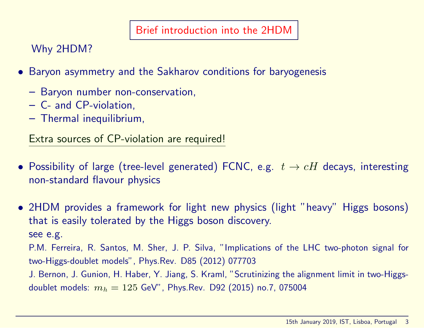#### Brief introduction into the 2HDM

Why 2HDM?

- Baryon asymmetry and the Sakharov conditions for baryogenesis
	- Baryon number non-conservation,
	- C- and CP-violation,
	- Thermal inequilibrium,

Extra sources of CP-violation are required!

• Possibility of large (tree-level generated) FCNC, e.g.  $t \to cH$  decays, interesting non-standard flavour physics

• 2HDM provides a framework for light new physics (light "heavy" Higgs bosons) that is easily tolerated by the Higgs boson discovery. see e.g. P.M. Ferreira, R. Santos, M. Sher, J. P. Silva, "Implications of the LHC two-photon signal for two-Higgs-doublet models", Phys.Rev. D85 (2012) 077703 J. Bernon, J. Gunion, H. Haber, Y. Jiang, S. Kraml, "Scrutinizing the alignment limit in two-Higgsdoublet models:  $m_h = 125$  GeV", Phys.Rev. D92 (2015) no.7, 075004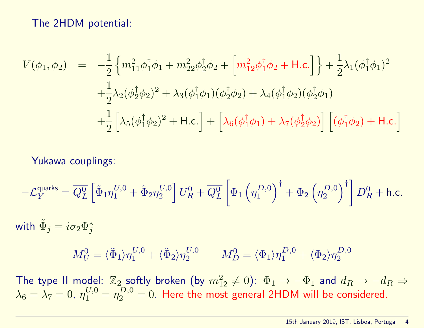The 2HDM potential:

$$
V(\phi_1, \phi_2) = -\frac{1}{2} \left\{ m_{11}^2 \phi_1^{\dagger} \phi_1 + m_{22}^2 \phi_2^{\dagger} \phi_2 + \left[ m_{12}^2 \phi_1^{\dagger} \phi_2 + \text{H.c.} \right] \right\} + \frac{1}{2} \lambda_1 (\phi_1^{\dagger} \phi_1)^2 + \frac{1}{2} \lambda_2 (\phi_2^{\dagger} \phi_2)^2 + \lambda_3 (\phi_1^{\dagger} \phi_1) (\phi_2^{\dagger} \phi_2) + \lambda_4 (\phi_1^{\dagger} \phi_2) (\phi_2^{\dagger} \phi_1) + \frac{1}{2} \left[ \lambda_5 (\phi_1^{\dagger} \phi_2)^2 + \text{H.c.} \right] + \left[ \lambda_6 (\phi_1^{\dagger} \phi_1) + \lambda_7 (\phi_2^{\dagger} \phi_2) \right] \left[ (\phi_1^{\dagger} \phi_2) + \text{H.c.} \right]
$$

Yukawa couplings:

$$
-\mathcal{L}_Y^{\text{quarks}} = \overline{Q_L^0} \left[ \tilde{\Phi}_1 \eta_1^{U,0} + \tilde{\Phi}_2 \eta_2^{U,0} \right] U_R^0 + \overline{Q_L^0} \left[ \Phi_1 \left( \eta_1^{D,0} \right)^{\dagger} + \Phi_2 \left( \eta_2^{D,0} \right)^{\dagger} \right] D_R^0 + \text{h.c.}
$$

with  $\tilde{\Phi}_j=i\sigma_2\Phi_j^*$  $\dot{\jmath}$ 

$$
M_U^0 = \langle \tilde{\Phi}_1 \rangle \eta_1^{U,0} + \langle \tilde{\Phi}_2 \rangle \eta_2^{U,0} \qquad M_D^0 = \langle \Phi_1 \rangle \eta_1^{D,0} + \langle \Phi_2 \rangle \eta_2^{D,0}
$$

The type II model:  $\mathbb{Z}_2$  softly broken (by  $m_{12}^2 \neq 0$ ):  $\Phi_1 \to -\Phi_1$  and  $d_R \to -d_R \Rightarrow$  $\lambda_6 = \lambda_7 = 0$ ,  $\eta_1^{U,0} = \eta_2^{D,0} = 0$ . Here the most general 2HDM will be considered.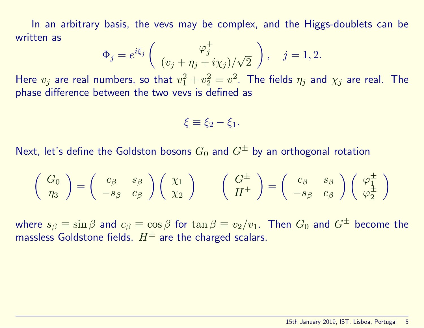In an arbitrary basis, the vevs may be complex, and the Higgs-doublets can be written as

$$
\Phi_j = e^{i\xi_j} \left( \begin{array}{c} \varphi_j^+ \\ (v_j + \eta_j + i\chi_j) / \sqrt{2} \end{array} \right), \quad j = 1, 2.
$$

Here  $v_j$  are real numbers, so that  $v_1^2+v_2^2=v^2$ . The fields  $\eta_j$  and  $\chi_j$  are real. The phase difference between the two vevs is defined as

$$
\xi \equiv \xi_2 - \xi_1.
$$

Next, let's define the Goldston bosons  $G_0$  and  $G^{\pm}$  by an orthogonal rotation

$$
\left(\begin{array}{c}G_0\\ \eta_3\end{array}\right)=\left(\begin{array}{cc}c_\beta & s_\beta\\ -s_\beta & c_\beta\end{array}\right)\left(\begin{array}{c}\chi_1\\ \chi_2\end{array}\right)\qquad \left(\begin{array}{c}G^\pm\\ H^\pm\end{array}\right)=\left(\begin{array}{cc}c_\beta & s_\beta\\ -s_\beta & c_\beta\end{array}\right)\left(\begin{array}{c}\varphi_1^\pm\\ \varphi_2^\pm\end{array}\right)
$$

where  $s_\beta \equiv \sin \beta$  and  $c_\beta \equiv \cos \beta$  for  $\tan \beta \equiv v_2/v_1$ . Then  $G_0$  and  $G^\pm$  become the massless Goldstone fields.  $H^{\pm}$  are the charged scalars.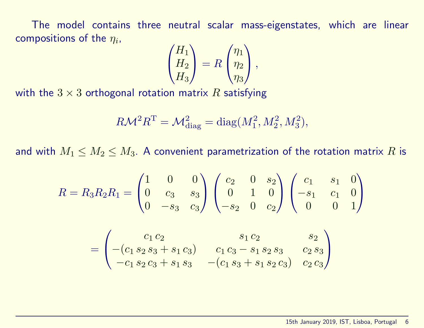The model contains three neutral scalar mass-eigenstates, which are linear compositions of the  $\eta_i$ ,

$$
\begin{pmatrix} H_1 \\ H_2 \\ H_3 \end{pmatrix} = R \begin{pmatrix} \eta_1 \\ \eta_2 \\ \eta_3 \end{pmatrix},
$$

with the  $3 \times 3$  orthogonal rotation matrix R satisfying

$$
R\mathcal{M}^2 R^{\mathcal{T}} = \mathcal{M}_{\text{diag}}^2 = \text{diag}(M_1^2, M_2^2, M_3^2),
$$

and with  $M_1 \leq M_2 \leq M_3$ . A convenient parametrization of the rotation matrix R is

$$
R = R_3 R_2 R_1 = \begin{pmatrix} 1 & 0 & 0 \ 0 & c_3 & s_3 \ 0 & -s_3 & c_3 \end{pmatrix} \begin{pmatrix} c_2 & 0 & s_2 \ 0 & 1 & 0 \ -s_2 & 0 & c_2 \end{pmatrix} \begin{pmatrix} c_1 & s_1 & 0 \ -s_1 & c_1 & 0 \ 0 & 0 & 1 \end{pmatrix}
$$

$$
= \begin{pmatrix} c_1 c_2 & s_1 c_2 & s_2 \ -(c_1 s_2 s_3 + s_1 c_3) & c_1 c_3 - s_1 s_2 s_3 & c_2 s_3 \ -c_1 s_2 c_3 + s_1 s_3 & -(c_1 s_3 + s_1 s_2 c_3) & c_2 c_3 \end{pmatrix}
$$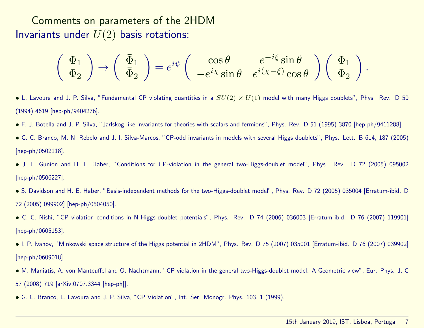Comments on parameters of the 2HDM Invariants under  $U(2)$  basis rotations:

$$
\left(\begin{array}{c}\Phi_1\\\Phi_2\end{array}\right)\to \left(\begin{array}{c}\bar{\Phi}_1\\\bar{\Phi}_2\end{array}\right)=e^{i\psi}\left(\begin{array}{cc} \cos\theta & e^{-i\xi}\sin\theta\\ -e^{i\chi}\sin\theta & e^{i(\chi-\xi)}\cos\theta\end{array}\right)\left(\begin{array}{c}\Phi_1\\\Phi_2\end{array}\right).
$$

- L. Lavoura and J. P. Silva, "Fundamental CP violating quantities in a  $SU(2) \times U(1)$  model with many Higgs doublets", Phys. Rev. D 50 (1994) 4619 [hep-ph/9404276].
- F. J. Botella and J. P. Silva, "Jarlskog-like invariants for theories with scalars and fermions", Phys. Rev. D 51 (1995) 3870 [hep-ph/9411288].
- G. C. Branco, M. N. Rebelo and J. I. Silva-Marcos, "CP-odd invariants in models with several Higgs doublets", Phys. Lett. B 614, 187 (2005) [hep-ph/0502118].
- J. F. Gunion and H. E. Haber, "Conditions for CP-violation in the general two-Higgs-doublet model", Phys. Rev. D 72 (2005) 095002 [hep-ph/0506227].
- S. Davidson and H. E. Haber, "Basis-independent methods for the two-Higgs-doublet model", Phys. Rev. D 72 (2005) 035004 [Erratum-ibid. D 72 (2005) 099902] [hep-ph/0504050].
- C. C. Nishi, "CP violation conditions in N-Higgs-doublet potentials", Phys. Rev. D 74 (2006) 036003 [Erratum-ibid. D 76 (2007) 119901] [hep-ph/0605153].
- I. P. Ivanov, "Minkowski space structure of the Higgs potential in 2HDM", Phys. Rev. D 75 (2007) 035001 [Erratum-ibid. D 76 (2007) 039902] [hep-ph/0609018].
- M. Maniatis, A. von Manteuffel and O. Nachtmann, "CP violation in the general two-Higgs-doublet model: A Geometric view", Eur. Phys. J. C 57 (2008) 719 [arXiv:0707.3344 [hep-ph]].
- G. C. Branco, L. Lavoura and J. P. Silva, "CP Violation", Int. Ser. Monogr. Phys. 103, 1 (1999).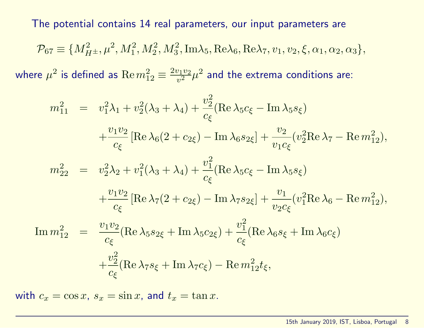The potential contains 14 real parameters, our input parameters are

$$
\mathcal{P}_{67} \equiv \{M_{H^{\pm}}^2, \mu^2, M_1^2, M_2^2, M_3^2, \text{Im}\lambda_5, \text{Re}\lambda_6, \text{Re}\lambda_7, v_1, v_2, \xi, \alpha_1, \alpha_2, \alpha_3\},\
$$

where  $\mu^2$  is defined as  $\mathrm{Re}\, m_{12}^2 \equiv \frac{2v_1v_2}{v^2}$  $\frac{v_1v_2}{v^2}\mu^2$  and the extrema conditions are:

$$
m_{11}^2 = v_1^2 \lambda_1 + v_2^2 (\lambda_3 + \lambda_4) + \frac{v_2^2}{c_{\xi}} (\text{Re } \lambda_5 c_{\xi} - \text{Im } \lambda_5 s_{\xi})
$$
  
\n
$$
+ \frac{v_1 v_2}{c_{\xi}} [\text{Re } \lambda_6 (2 + c_{2\xi}) - \text{Im } \lambda_6 s_{2\xi}] + \frac{v_2}{v_1 c_{\xi}} (v_2^2 \text{Re } \lambda_7 - \text{Re } m_{12}^2),
$$
  
\n
$$
m_{22}^2 = v_2^2 \lambda_2 + v_1^2 (\lambda_3 + \lambda_4) + \frac{v_1^2}{c_{\xi}} (\text{Re } \lambda_5 c_{\xi} - \text{Im } \lambda_5 s_{\xi})
$$
  
\n
$$
+ \frac{v_1 v_2}{c_{\xi}} [\text{Re } \lambda_7 (2 + c_{2\xi}) - \text{Im } \lambda_7 s_{2\xi}] + \frac{v_1}{v_2 c_{\xi}} (v_1^2 \text{Re } \lambda_6 - \text{Re } m_{12}^2),
$$
  
\n
$$
\text{Im } m_{12}^2 = \frac{v_1 v_2}{c_{\xi}} (\text{Re } \lambda_5 s_{2\xi} + \text{Im } \lambda_5 c_{2\xi}) + \frac{v_1^2}{c_{\xi}} (\text{Re } \lambda_6 s_{\xi} + \text{Im } \lambda_6 c_{\xi})
$$
  
\n
$$
+ \frac{v_2^2}{c_{\xi}} (\text{Re } \lambda_7 s_{\xi} + \text{Im } \lambda_7 c_{\xi}) - \text{Re } m_{12}^2 t_{\xi},
$$

with  $c_x = \cos x$ ,  $s_x = \sin x$ , and  $t_x = \tan x$ .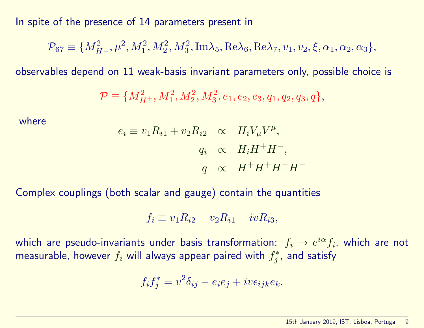In spite of the presence of 14 parameters present in

$$
\mathcal{P}_{67} \equiv \{M_{H^{\pm}}^2, \mu^2, M_1^2, M_2^2, M_3^2, \text{Im}\lambda_5, \text{Re}\lambda_6, \text{Re}\lambda_7, v_1, v_2, \xi, \alpha_1, \alpha_2, \alpha_3\},\
$$

observables depend on 11 weak-basis invariant parameters only, possible choice is

$$
\mathcal{P} \equiv \{M_{H^{\pm}}^2, M_1^2, M_2^2, M_3^2, e_1, e_2, e_3, q_1, q_2, q_3, q\},\
$$

where

$$
e_i \equiv v_1 R_{i1} + v_2 R_{i2} \quad \propto \quad H_i V_\mu V^\mu,
$$
  
\n
$$
q_i \quad \propto \quad H_i H^+ H^-,
$$
  
\n
$$
q \quad \propto \quad H^+ H^+ H^- H^-
$$

Complex couplings (both scalar and gauge) contain the quantities

$$
f_i \equiv v_1 R_{i2} - v_2 R_{i1} - i v R_{i3},
$$

which are pseudo-invariants under basis transformation:  $f_i\rightarrow e^{i\alpha}f_i$ , which are not measurable, however  $f_i$  will always appear paired with  $f_i^*$  $j^*$ , and satisfy

$$
f_i f_j^* = v^2 \delta_{ij} - e_i e_j + i v \epsilon_{ijk} e_k.
$$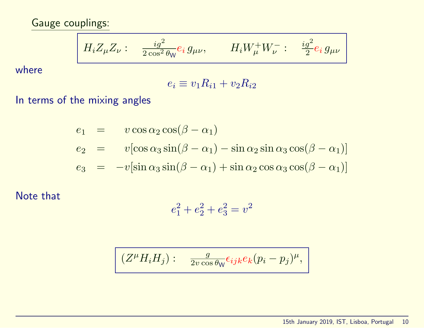Gauge couplings:

$$
H_i Z_{\mu} Z_{\nu} : \quad \frac{ig^2}{2 \cos^2 \theta_W} e_i \, g_{\mu\nu}, \qquad H_i W_{\mu}^+ W_{\nu}^- : \quad \frac{ig^2}{2} e_i \, g_{\mu\nu}
$$

where

$$
e_i \equiv v_1 R_{i1} + v_2 R_{i2}
$$

In terms of the mixing angles

$$
e_1 = v \cos \alpha_2 \cos(\beta - \alpha_1)
$$
  
\n
$$
e_2 = v[\cos \alpha_3 \sin(\beta - \alpha_1) - \sin \alpha_2 \sin \alpha_3 \cos(\beta - \alpha_1)]
$$
  
\n
$$
e_3 = -v[\sin \alpha_3 \sin(\beta - \alpha_1) + \sin \alpha_2 \cos \alpha_3 \cos(\beta - \alpha_1)]
$$

Note that

$$
e_1^2 + e_2^2 + e_3^2 = v^2
$$

$$
(Z^{\mu}H_iH_j): \quad \frac{g}{2v\cos\theta_{\mathsf{W}}}\epsilon_{ijk}e_k(p_i-p_j)^{\mu},
$$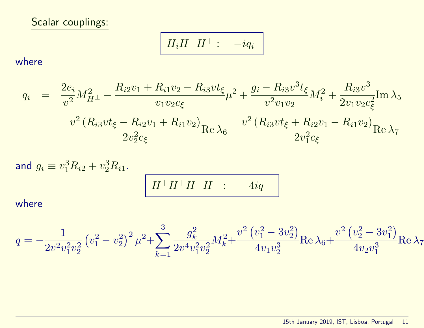Scalar couplings:

$$
H_i H^- H^+ : -i q_i
$$

where

$$
q_{i} = \frac{2e_{i}}{v^{2}}M_{H^{\pm}}^{2} - \frac{R_{i2}v_{1} + R_{i1}v_{2} - R_{i3}vt_{\xi}}{v_{1}v_{2}c_{\xi}}\mu^{2} + \frac{g_{i} - R_{i3}v^{3}t_{\xi}}{v^{2}v_{1}v_{2}}M_{i}^{2} + \frac{R_{i3}v^{3}}{2v_{1}v_{2}c_{\xi}^{2}}Im \lambda_{5}
$$

$$
-\frac{v^{2}(R_{i3}vt_{\xi} - R_{i2}v_{1} + R_{i1}v_{2})}{2v_{2}^{2}c_{\xi}}Re \lambda_{6} - \frac{v^{2}(R_{i3}vt_{\xi} + R_{i2}v_{1} - R_{i1}v_{2})}{2v_{1}^{2}c_{\xi}}Re \lambda_{7}
$$

and 
$$
g_i \equiv v_1^3 R_{i2} + v_2^3 R_{i1}
$$
.  

$$
H^+ H^+ H^- H^-: -4iq
$$

where

$$
q=-\frac{1}{2v^2v_1^2v_2^2}\left(v_1^2-v_2^2\right)^2\mu^2+\sum_{k=1}^3\frac{g_k^2}{2v^4v_1^2v_2^2}M_k^2+\frac{v^2\left(v_1^2-3v_2^2\right)}{4v_1v_2^3}\mathrm{Re\,}\lambda_6+\frac{v^2\left(v_2^2-3v_1^2\right)}{4v_2v_1^3}\mathrm{Re\,}\lambda_7
$$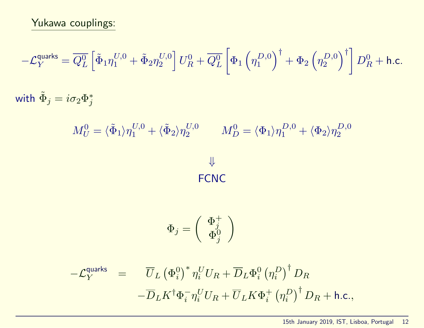# Yukawa couplings:

$$
-\mathcal{L}_Y^{\text{quarks}} = \overline{Q_L^0} \left[ \tilde{\Phi}_1 \eta_1^{U,0} + \tilde{\Phi}_2 \eta_2^{U,0} \right] U_R^0 + \overline{Q_L^0} \left[ \Phi_1 \left( \eta_1^{D,0} \right)^{\dagger} + \Phi_2 \left( \eta_2^{D,0} \right)^{\dagger} \right] D_R^0 + \text{h.c.}
$$
  
with  $\tilde{\Phi}_j = i \sigma_2 \Phi_j^*$ 

$$
M_U^0 = \langle \tilde{\Phi}_1 \rangle \eta_1^{U,0} + \langle \tilde{\Phi}_2 \rangle \eta_2^{U,0} \qquad M_D^0 = \langle \Phi_1 \rangle \eta_1^{D,0} + \langle \Phi_2 \rangle \eta_2^{D,0}
$$

FCNC

$$
\Phi_j=\left(\begin{array}{c}\Phi_j^+ \\ \Phi_j^0 \end{array}\right)
$$

$$
\begin{array}{rcl} -\mathcal{L}_Y^{\text{quarks}} & = & \overline{U}_L \left(\Phi_i^0\right)^* \eta_i^U U_R + \overline{D}_L \Phi_i^0 \left(\eta_i^D\right)^\dagger D_R \\ & & - \overline{D}_L K^\dagger \Phi_i^- \eta_i^U U_R + \overline{U}_L K \Phi_i^+ \left(\eta_i^D\right)^\dagger D_R + \text{h.c.}, \end{array}
$$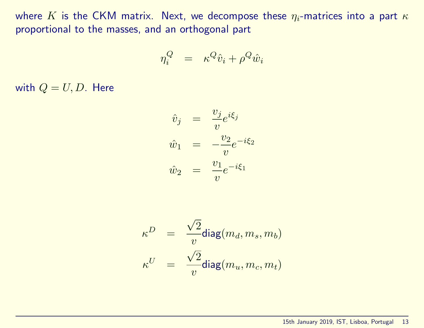where K is the CKM matrix. Next, we decompose these  $\eta_i$ -matrices into a part  $\kappa$ proportional to the masses, and an orthogonal part

$$
\eta_i^Q = \kappa^Q \hat{v}_i + \rho^Q \hat{w}_i
$$

with  $Q = U, D$ . Here

$$
\hat{v}_j = \frac{v_j}{v} e^{i\xi_j}
$$
  

$$
\hat{w}_1 = -\frac{v_2}{v} e^{-i\xi_2}
$$
  

$$
\hat{w}_2 = \frac{v_1}{v} e^{-i\xi_1}
$$

$$
\begin{array}{rcl} \kappa^D & = & \displaystyle \frac{\sqrt{2}}{v} \text{diag}(m_d,m_s,m_b) \\[1ex] \kappa^U & = & \displaystyle \frac{\sqrt{2}}{v} \text{diag}(m_u,m_c,m_t) \end{array}
$$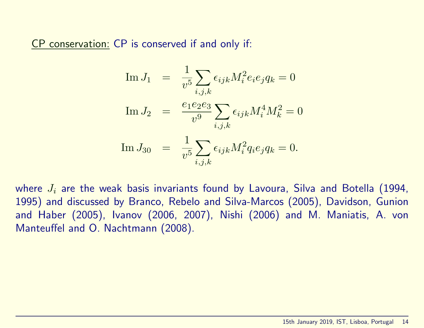CP conservation: CP is conserved if and only if:

Im 
$$
J_1
$$
 =  $\frac{1}{v^5} \sum_{i,j,k} \epsilon_{ijk} M_i^2 e_i e_j q_k = 0$   
\nIm  $J_2$  =  $\frac{e_1 e_2 e_3}{v^9} \sum_{i,j,k} \epsilon_{ijk} M_i^4 M_k^2 = 0$   
\nIm  $J_{30}$  =  $\frac{1}{v^5} \sum_{i,j,k} \epsilon_{ijk} M_i^2 q_i e_j q_k = 0$ .

where  $J_i$  are the weak basis invariants found by Lavoura, Silva and Botella (1994, 1995) and discussed by Branco, Rebelo and Silva-Marcos (2005), Davidson, Gunion and Haber (2005), Ivanov (2006, 2007), Nishi (2006) and M. Maniatis, A. von Manteuffel and O. Nachtmann (2008).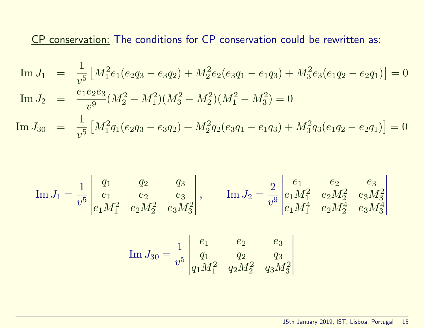CP conservation: The conditions for CP conservation could be rewritten as:

$$
\text{Im } J_1 = \frac{1}{v^5} \left[ M_1^2 e_1 (e_2 q_3 - e_3 q_2) + M_2^2 e_2 (e_3 q_1 - e_1 q_3) + M_3^2 e_3 (e_1 q_2 - e_2 q_1) \right] = 0
$$
\n
$$
\text{Im } J_2 = \frac{e_1 e_2 e_3}{v^9} (M_2^2 - M_1^2)(M_3^2 - M_2^2)(M_1^2 - M_3^2) = 0
$$
\n
$$
\text{Im } J_{30} = \frac{1}{v^5} \left[ M_1^2 q_1 (e_2 q_3 - e_3 q_2) + M_2^2 q_2 (e_3 q_1 - e_1 q_3) + M_3^2 q_3 (e_1 q_2 - e_2 q_1) \right] = 0
$$

$$
\text{Im } J_1 = \frac{1}{v^5} \begin{vmatrix} q_1 & q_2 & q_3 \\ e_1 & e_2 & e_3 \\ e_1 M_1^2 & e_2 M_2^2 & e_3 M_3^2 \end{vmatrix}, \qquad \text{Im } J_2 = \frac{2}{v^9} \begin{vmatrix} e_1 & e_2 & e_3 \\ e_1 M_1^2 & e_2 M_2^2 & e_3 M_3^2 \\ e_1 M_1^4 & e_2 M_2^4 & e_3 M_3^4 \end{vmatrix}
$$

Im 
$$
J_{30} = \frac{1}{v^5} \begin{vmatrix} e_1 & e_2 & e_3 \ q_1 & q_2 & q_3 \ q_1 M_1^2 & q_2 M_2^2 & q_3 M_3^2 \end{vmatrix}
$$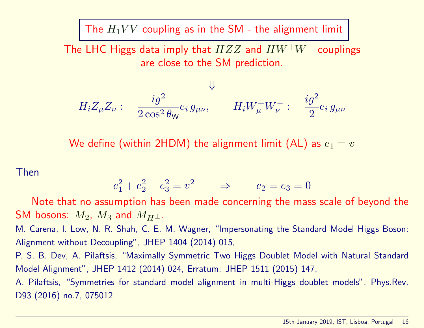The  $H_1VV$  coupling as in the SM - the alignment limit

The LHC Higgs data imply that  $HZZ$  and  $HW^+W^-$  couplings are close to the SM prediction.

$$
H_i Z_\mu Z_\nu: \quad \frac{ig^2}{2\cos^2\theta_W} e_i g_{\mu\nu}, \qquad H_i W_\mu^+ W_\nu^-: \quad \frac{ig^2}{2} e_i g_{\mu\nu}
$$

We define (within 2HDM) the alignment limit (AL) as  $e_1 = v$ 

Then

$$
e_1^2 + e_2^2 + e_3^2 = v^2 \qquad \Rightarrow \qquad e_2 = e_3 = 0
$$

Note that no assumption has been made concerning the mass scale of beyond the SM bosons:  $M_2$ ,  $M_3$  and  $M_{H^{\pm}}$ .

M. Carena, I. Low, N. R. Shah, C. E. M. Wagner, "Impersonating the Standard Model Higgs Boson: Alignment without Decoupling", JHEP 1404 (2014) 015,

P. S. B. Dev, A. Pilaftsis, "Maximally Symmetric Two Higgs Doublet Model with Natural Standard Model Alignment", JHEP 1412 (2014) 024, Erratum: JHEP 1511 (2015) 147,

A. Pilaftsis, "Symmetries for standard model alignment in multi-Higgs doublet models", Phys.Rev. D93 (2016) no.7, 075012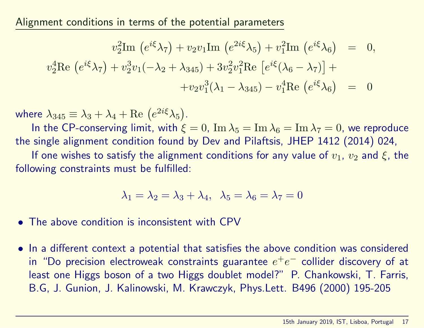Alignment conditions in terms of the potential parameters

$$
v_2^2 \text{Im} \left( e^{i\xi} \lambda_7 \right) + v_2 v_1 \text{Im} \left( e^{2i\xi} \lambda_5 \right) + v_1^2 \text{Im} \left( e^{i\xi} \lambda_6 \right) = 0,
$$
  

$$
v_2^4 \text{Re} \left( e^{i\xi} \lambda_7 \right) + v_2^3 v_1 (-\lambda_2 + \lambda_{345}) + 3v_2^2 v_1^2 \text{Re} \left[ e^{i\xi} (\lambda_6 - \lambda_7) \right] +
$$
  

$$
+ v_2 v_1^3 (\lambda_1 - \lambda_{345}) - v_1^4 \text{Re} \left( e^{i\xi} \lambda_6 \right) = 0
$$

where  $\lambda_{345} \equiv \lambda_3 + \lambda_4 + \text{Re}(e^{2i\xi}\lambda_5)$ .

In the CP-conserving limit, with  $\xi = 0$ ,  $\text{Im }\lambda_5 = \text{Im }\lambda_6 = \text{Im }\lambda_7 = 0$ , we reproduce the single alignment condition found by Dev and Pilaftsis, JHEP 1412 (2014) 024,

If one wishes to satisfy the alignment conditions for any value of  $v_1$ ,  $v_2$  and  $\xi$ , the following constraints must be fulfilled:

$$
\lambda_1 = \lambda_2 = \lambda_3 + \lambda_4, \ \lambda_5 = \lambda_6 = \lambda_7 = 0
$$

• The above condition is inconsistent with CPV

• In a different context a potential that satisfies the above condition was considered in "Do precision electroweak constraints guarantee  $e^+e^-$  collider discovery of at least one Higgs boson of a two Higgs doublet model?" P. Chankowski, T. Farris, B.G, J. Gunion, J. Kalinowski, M. Krawczyk, Phys.Lett. B496 (2000) 195-205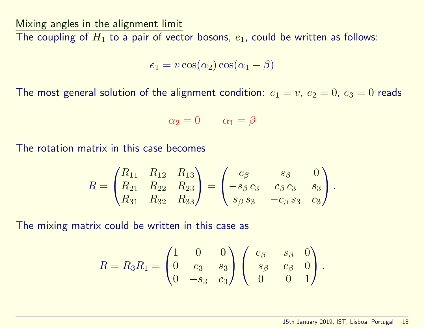Mixing angles in the alignment limit

The coupling of  $H_1$  to a pair of vector bosons,  $e_1$ , could be written as follows:

 $e_1 = v \cos(\alpha_2) \cos(\alpha_1 - \beta)$ 

The most general solution of the alignment condition:  $e_1 = v$ ,  $e_2 = 0$ ,  $e_3 = 0$  reads

$$
\alpha_2=0\qquad \alpha_1=\beta
$$

The rotation matrix in this case becomes

$$
R = \begin{pmatrix} R_{11} & R_{12} & R_{13} \\ R_{21} & R_{22} & R_{23} \\ R_{31} & R_{32} & R_{33} \end{pmatrix} = \begin{pmatrix} c_{\beta} & s_{\beta} & 0 \\ -s_{\beta} c_{3} & c_{\beta} c_{3} & s_{3} \\ s_{\beta} s_{3} & -c_{\beta} s_{3} & c_{3} \end{pmatrix}.
$$

The mixing matrix could be written in this case as

$$
R = R_3 R_1 = \begin{pmatrix} 1 & 0 & 0 \\ 0 & c_3 & s_3 \\ 0 & -s_3 & c_3 \end{pmatrix} \begin{pmatrix} c_\beta & s_\beta & 0 \\ -s_\beta & c_\beta & 0 \\ 0 & 0 & 1 \end{pmatrix}.
$$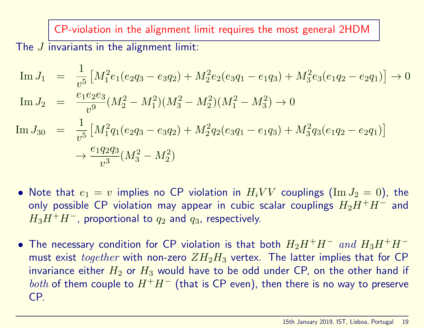CP-violation in the alignment limit requires the most general 2HDM The *J* invariants in the alignment limit:

$$
\begin{array}{rcl}\n\text{Im}\,J_{1} &=& \frac{1}{v^{5}} \left[ M_{1}^{2}e_{1}(e_{2}q_{3}-e_{3}q_{2}) + M_{2}^{2}e_{2}(e_{3}q_{1}-e_{1}q_{3}) + M_{3}^{2}e_{3}(e_{1}q_{2}-e_{2}q_{1}) \right] \to 0 \\
\text{Im}\,J_{2} &=& \frac{e_{1}e_{2}e_{3}}{v^{9}} (M_{2}^{2}-M_{1}^{2})(M_{3}^{2}-M_{2}^{2})(M_{1}^{2}-M_{3}^{2}) \to 0 \\
\text{Im}\,J_{30} &=& \frac{1}{v^{5}} \left[ M_{1}^{2}q_{1}(e_{2}q_{3}-e_{3}q_{2}) + M_{2}^{2}q_{2}(e_{3}q_{1}-e_{1}q_{3}) + M_{3}^{2}q_{3}(e_{1}q_{2}-e_{2}q_{1}) \right] \\
& & \to \frac{e_{1}q_{2}q_{3}}{v^{3}} (M_{3}^{2}-M_{2}^{2})\n\end{array}
$$

- Note that  $e_1 = v$  implies no CP violation in  $H_iVV$  couplings  $(\text{Im }J_2 = 0)$ , the only possible CP violation may appear in cubic scalar couplings  $H_2H^+H^-$  and  $H_3H^+H^-$ , proportional to  $q_2$  and  $q_3$ , respectively.
- The necessary condition for CP violation is that both  $H_2H^+H^-$  and  $H_3H^+H^$ must exist together with non-zero  $ZH_2H_3$  vertex. The latter implies that for CP invariance either  $H_2$  or  $H_3$  would have to be odd under CP, on the other hand if *both* of them couple to  $H^+H^-$  (that is CP even), then there is no way to preserve CP.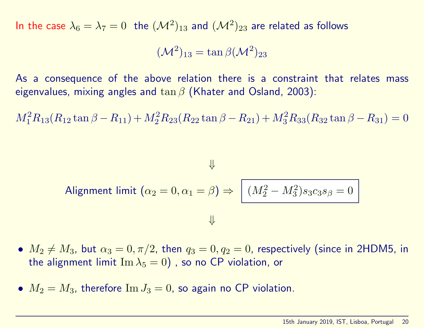In the case  $\lambda_6 = \lambda_7 = 0$  the  $({\cal M}^2)_{13}$  and  $({\cal M}^2)_{23}$  are related as follows

$$
(\mathcal{M}^2)_{13} = \tan \beta (\mathcal{M}^2)_{23}
$$

As a consequence of the above relation there is a constraint that relates mass eigenvalues, mixing angles and  $\tan \beta$  (Khater and Osland, 2003):

 $M_1^2 R_{13}(R_{12} \tan \beta - R_{11}) + M_2^2 R_{23}(R_{22} \tan \beta - R_{21}) + M_3^2 R_{33}(R_{32} \tan \beta - R_{31}) = 0$ 

$$
\Downarrow
$$
   
Algorithment limit  $(\alpha_2 = 0, \alpha_1 = \beta) \Rightarrow \boxed{(M_2^2 - M_3^2)s_3c_3s_\beta = 0}$ 

- $M_2 \neq M_3$ , but  $\alpha_3 = 0, \pi/2$ , then  $q_3 = 0, q_2 = 0$ , respectively (since in 2HDM5, in the alignment limit  $\text{Im }\lambda_5 = 0$ ), so no CP violation, or
- $M_2 = M_3$ , therefore  $\text{Im } J_3 = 0$ , so again no CP violation.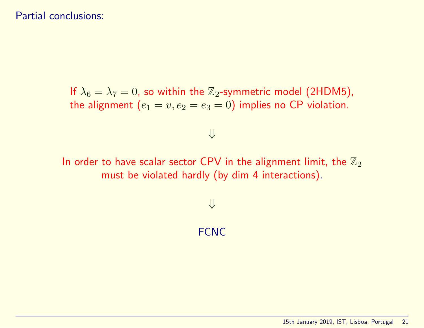#### Partial conclusions:

If  $\lambda_6 = \lambda_7 = 0$ , so within the  $\mathbb{Z}_2$ -symmetric model (2HDM5), the alignment  $(e_1 = v, e_2 = e_3 = 0)$  implies no CP violation.

# ⇓

In order to have scalar sector CPV in the alignment limit, the  $\mathbb{Z}_2$ must be violated hardly (by dim 4 interactions).

## ⇓

#### **FCNC**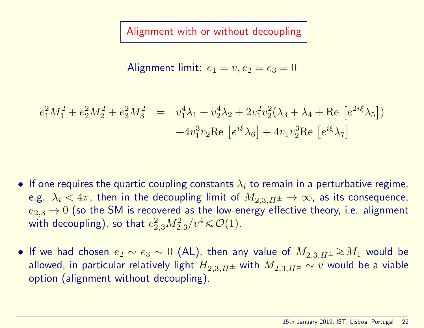Alignment with or without decoupling

$$
\text{alignment limit: } e_1 = v, e_2 = e_3 = 0
$$

$$
e_1^2 M_1^2 + e_2^2 M_2^2 + e_3^2 M_3^2 = v_1^4 \lambda_1 + v_2^4 \lambda_2 + 2v_1^2 v_2^2 (\lambda_3 + \lambda_4 + \text{Re} \left[ e^{2i\xi} \lambda_5 \right]) + 4v_1^3 v_2 \text{Re} \left[ e^{i\xi} \lambda_6 \right] + 4v_1 v_2^3 \text{Re} \left[ e^{i\xi} \lambda_7 \right]
$$

- If one requires the quartic coupling constants  $\lambda_i$  to remain in a perturbative regime, e.g.  $\lambda_i < 4\pi$ , then in the decoupling limit of  $M_{2,3,H^{\pm}} \to \infty$ , as its consequence,  $e_{2,3} \rightarrow 0$  (so the SM is recovered as the low-energy effective theory, i.e. alignment with decoupling), so that  $e_{2,3}^2M_{2,3}^2/v^4 \!\leqslant\! {\cal O}(1).$
- If we had chosen  $e_2 \sim e_3 \sim 0$  (AL), then any value of  $M_{2,3,H^{\pm}} \gtrsim M_1$  would be allowed, in particular relatively light  $H_{2,3,H^{\pm}}$  with  $M_{2,3,H^{\pm}} \sim v$  would be a viable option (alignment without decoupling).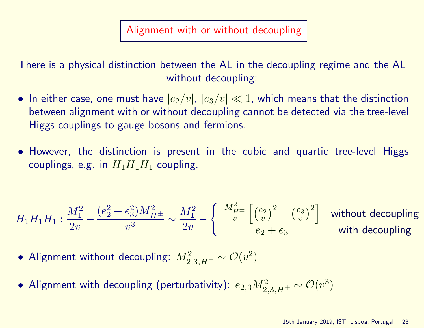There is a physical distinction between the AL in the decoupling regime and the AL without decoupling:

- In either case, one must have  $|e_2/v|, |e_3/v| \ll 1$ , which means that the distinction between alignment with or without decoupling cannot be detected via the tree-level Higgs couplings to gauge bosons and fermions.
- However, the distinction is present in the cubic and quartic tree-level Higgs couplings, e.g. in  $H_1H_1H_1$  coupling.

$$
H_1H_1H_1: \frac{M_1^2}{2v} - \frac{(e_2^2 + e_3^2)M_{H^\pm}^2}{v^3} \sim \frac{M_1^2}{2v} - \left\{ \begin{array}{c} \frac{M_{H^\pm}^2}{v} \left[ \left(\frac{e_2}{v}\right)^2 + \left(\frac{e_3}{v}\right)^2 \right] & \text{without decoupling} \\ e_2 + e_3 & \text{with decoupling} \end{array} \right.
$$

- Alignment without decoupling:  $M_{2,3,H^{\pm}}^2\sim {\cal O}(v^2)$
- $\bullet$  Alignment with decoupling (perturbativity):  $e_{2,3}M_{2,3,H^{\pm}}^{2}\sim {\cal O}(v^{3})$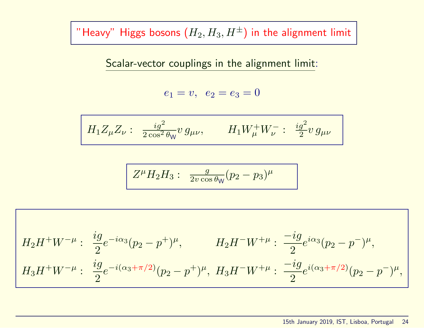"Heavy" Higgs bosons  $(H_2, H_3, H^{\pm})$  in the alignment limit

Scalar-vector couplings in the alignment limit:

$$
e_1 = v, \ \ e_2 = e_3 = 0
$$

$$
H_1 Z_\mu Z_\nu: \ \frac{i g^2}{2 \cos^2 \theta_W} v \, g_{\mu\nu}, \qquad H_1 W^+_\mu W^-_\nu: \ \frac{i g^2}{2} v \, g_{\mu\nu}
$$

$$
Z^{\mu}H_2H_3: \frac{g}{2v\cos\theta_{\mathsf{W}}}(p_2-p_3)^{\mu}
$$

$$
H_2H^+W^{-\mu}:\ \frac{ig}{2}e^{-i\alpha_3}(p_2-p^+)^{\mu}, \qquad H_2H^-W^{+\mu}:\ \frac{-ig}{2}e^{i\alpha_3}(p_2-p^-)^{\mu},
$$

$$
H_3H^+W^{-\mu}:\ \frac{ig}{2}e^{-i(\alpha_3+\pi/2)}(p_2-p^+)^{\mu},\ H_3H^-W^{+\mu}:\ \frac{-ig}{2}e^{i(\alpha_3+\pi/2)}(p_2-p^-)^{\mu},
$$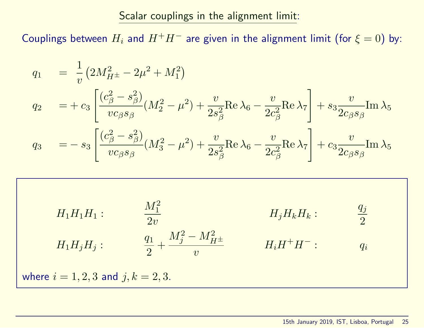Scalar couplings in the alignment limit:

Couplings between  $H_i$  and  $H^+H^-$  are given in the alignment limit (for  $\xi = 0$ ) by:

$$
q_1 = \frac{1}{v} (2M_{H^{\pm}}^2 - 2\mu^2 + M_1^2)
$$
  
\n
$$
q_2 = + c_3 \left[ \frac{(c_{\beta}^2 - s_{\beta}^2)}{vc_{\beta} s_{\beta}} (M_2^2 - \mu^2) + \frac{v}{2s_{\beta}^2} \text{Re } \lambda_6 - \frac{v}{2c_{\beta}^2} \text{Re } \lambda_7 \right] + s_3 \frac{v}{2c_{\beta} s_{\beta}} \text{Im } \lambda_5
$$
  
\n
$$
q_3 = -s_3 \left[ \frac{(c_{\beta}^2 - s_{\beta}^2)}{vc_{\beta} s_{\beta}} (M_3^2 - \mu^2) + \frac{v}{2s_{\beta}^2} \text{Re } \lambda_6 - \frac{v}{2c_{\beta}^2} \text{Re } \lambda_7 \right] + c_3 \frac{v}{2c_{\beta} s_{\beta}} \text{Im } \lambda_5
$$

$$
H_1H_1H_1: \t \t \frac{M_1^2}{2v} \t H_1H_jH_j: \t \t \frac{q_1}{2} + \frac{M_j^2 - M_{H^\pm}^2}{v} \t H_iH^+H^-: \t \t q_i
$$
\nwhere  $i = 1, 2, 3$  and  $j, k = 2, 3$ .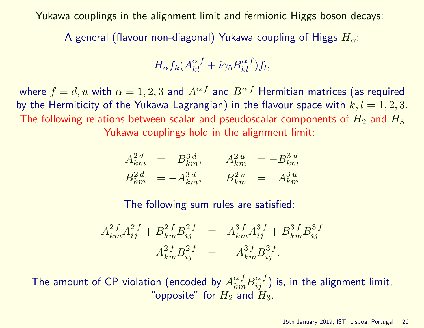Yukawa couplings in the alignment limit and fermionic Higgs boson decays:

A general (flavour non-diagonal) Yukawa coupling of Higgs  $H_{\alpha}$ :

$$
H_{\alpha} \bar{f}_k (A_{kl}^{\alpha}{}^f + i \gamma_5 B_{kl}^{\alpha}{}^f) f_l,
$$

where  $f = d$ , u with  $\alpha = 1, 2, 3$  and  $A^{\alpha}$  and  $B^{\alpha}$  Hermitian matrices (as required by the Hermiticity of the Yukawa Lagrangian) in the flavour space with  $k, l = 1, 2, 3$ . The following relations between scalar and pseudoscalar components of  $H_2$  and  $H_3$ Yukawa couplings hold in the alignment limit:

$$
A_{km}^{2\,d} = B_{km}^{3\,d}, \qquad A_{km}^{2\,u} = -B_{km}^{3\,u}
$$
  

$$
B_{km}^{2\,d} = -A_{km}^{3\,d}, \qquad B_{km}^{2\,u} = A_{km}^{3\,u}
$$

The following sum rules are satisfied:

$$
A_{km}^{2f}A_{ij}^{2f} + B_{km}^{2f}B_{ij}^{2f} = A_{km}^{3f}A_{ij}^{3f} + B_{km}^{3f}B_{ij}^{3f}
$$

$$
A_{km}^{2f}B_{ij}^{2f} = -A_{km}^{3f}B_{ij}^{3f}.
$$

The amount of CP violation (encoded by  $A^{\alpha \, f}_{km} B^{\alpha \, f}_{ij})$  is, in the alignment limit, "opposite" for  $H_2$  and  $H_3$ .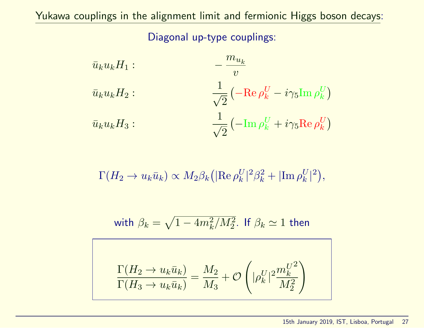Diagonal up-type couplings:

$$
\bar{u}_{k}u_{k}H_{1}:
$$
\n
$$
\frac{1}{v}
$$
\n
$$
\bar{u}_{k}u_{k}H_{2}:
$$
\n
$$
\frac{1}{\sqrt{2}}\left(-\text{Re}\,\rho_{k}^{U} - i\gamma_{5}\text{Im}\,\rho_{k}^{U}\right)
$$
\n
$$
\bar{u}_{k}u_{k}H_{3}:
$$
\n
$$
\frac{1}{\sqrt{2}}\left(-\text{Im}\,\rho_{k}^{U} + i\gamma_{5}\text{Re}\,\rho_{k}^{U}\right)
$$

$$
\Gamma(H_2 \to u_k \bar{u}_k) \propto M_2 \beta_k \left( |\text{Re } \rho_k^U|^2 \beta_k^2 + |\text{Im } \rho_k^U|^2 \right),\,
$$

with 
$$
\beta_k = \sqrt{1-4m_k^2/M_2^2}
$$
. If  $\beta_k \simeq 1$  then

$$
\frac{\Gamma(H_2 \to u_k \bar{u}_k)}{\Gamma(H_3 \to u_k \bar{u}_k)} = \frac{M_2}{M_3} + \mathcal{O}\left(|\rho_k^U|^2 \frac{m_k^{U^2}}{M_2^2}\right)
$$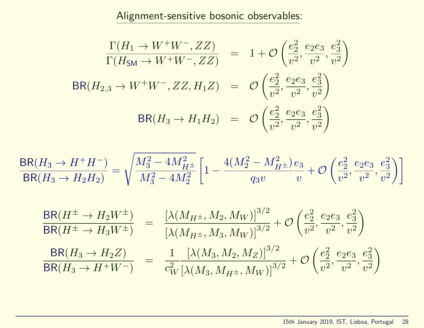Alignment-sensitive bosonic observables:

$$
\frac{\Gamma(H_1 \to W^+ W^-, ZZ)}{\Gamma(H_{\rm SM} \to W^+ W^-, ZZ)} = 1 + \mathcal{O}\left(\frac{e_2^2}{v^2}, \frac{e_2 e_3}{v^2}, \frac{e_3^2}{v^2}\right)
$$
\n
$$
BR(H_{2,3} \to W^+ W^-, ZZ, H_1 Z) = \mathcal{O}\left(\frac{e_2^2}{v^2}, \frac{e_2 e_3}{v^2}, \frac{e_3^2}{v^2}\right)
$$
\n
$$
BR(H_3 \to H_1 H_2) = \mathcal{O}\left(\frac{e_2^2}{v^2}, \frac{e_2 e_3}{v^2}, \frac{e_3^2}{v^2}\right)
$$

$$
\frac{\text{BR}(H_3 \to H^+ H^-)}{\text{BR}(H_3 \to H_2 H_2)} = \sqrt{\frac{M_3^2 - 4 M_{H^\pm}^2}{M_3^2 - 4 M_2^2}} \left[1 - \frac{4 (M_2^2 - M_{H^\pm}^2) \, e_3}{q_3 v} + \mathcal{O}\left(\frac{e_2^2}{v^2}, \frac{e_2 e_3}{v^2}, \frac{e_3^2}{v^2}\right)\right]
$$

$$
\frac{\text{BR}(H^{\pm} \to H_2 W^{\pm})}{\text{BR}(H^{\pm} \to H_3 W^{\pm})} = \frac{\left[\lambda (M_{H^{\pm}}, M_2, M_W)\right]^{3/2}}{\left[\lambda (M_{H^{\pm}}, M_3, M_W)\right]^{3/2}} + \mathcal{O}\left(\frac{e_2^2}{v^2}, \frac{e_2 e_3}{v^2}, \frac{e_3^2}{v^2}\right)
$$
\n
$$
\frac{\text{BR}(H_3 \to H_2 Z)}{\text{BR}(H_3 \to H^+ W^-)} = \frac{1}{c_W^2} \frac{\left[\lambda (M_3, M_2, M_Z)\right]^{3/2}}{\left[\lambda (M_3, M_{H^{\pm}}, M_W)\right]^{3/2}} + \mathcal{O}\left(\frac{e_2^2}{v^2}, \frac{e_2 e_3}{v^2}, \frac{e_3^2}{v^2}\right)
$$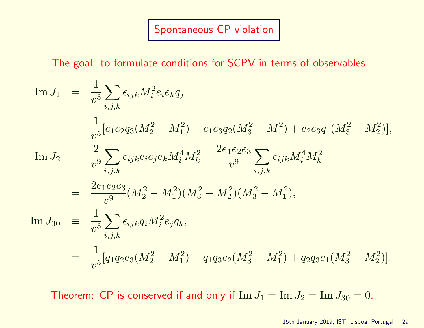## Spontaneous CP violation

The goal: to formulate conditions for SCPV in terms of observables

$$
\begin{array}{rcl}\n\text{Im }J_{1} &=& \frac{1}{v^{5}} \sum_{i,j,k} \epsilon_{ijk} M_{i}^{2} e_{i} e_{k} q_{j} \\
&=& \frac{1}{v^{5}} [e_{1} e_{2} q_{3} (M_{2}^{2} - M_{1}^{2}) - e_{1} e_{3} q_{2} (M_{3}^{2} - M_{1}^{2}) + e_{2} e_{3} q_{1} (M_{3}^{2} - M_{2}^{2})], \\
\text{Im }J_{2} &=& \frac{2}{v^{9}} \sum_{i,j,k} \epsilon_{ijk} e_{i} e_{j} e_{k} M_{i}^{4} M_{k}^{2} = \frac{2 e_{1} e_{2} e_{3}}{v^{9}} \sum_{i,j,k} \epsilon_{ijk} M_{i}^{4} M_{k}^{2} \\
&=& \frac{2 e_{1} e_{2} e_{3}}{v^{9}} (M_{2}^{2} - M_{1}^{2}) (M_{3}^{2} - M_{2}^{2}) (M_{3}^{2} - M_{1}^{2}), \\
\text{Im }J_{30} &=& \frac{1}{v^{5}} \sum_{i,j,k} \epsilon_{ijk} q_{i} M_{i}^{2} e_{j} q_{k}, \\
&=& \frac{1}{v^{5}} [q_{1} q_{2} e_{3} (M_{2}^{2} - M_{1}^{2}) - q_{1} q_{3} e_{2} (M_{3}^{2} - M_{1}^{2}) + q_{2} q_{3} e_{1} (M_{3}^{2} - M_{2}^{2})].\n\end{array}
$$

Theorem: CP is conserved if and only if  $\text{Im } J_1 = \text{Im } J_2 = \text{Im } J_{30} = 0$ .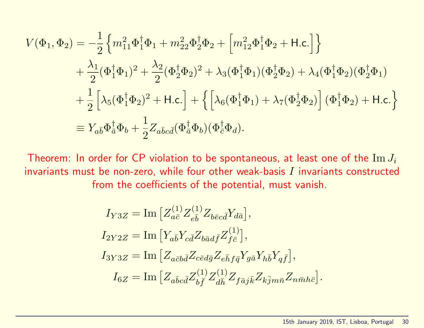$$
V(\Phi_1, \Phi_2) = -\frac{1}{2} \left\{ m_{11}^2 \Phi_1^{\dagger} \Phi_1 + m_{22}^2 \Phi_2^{\dagger} \Phi_2 + \left[ m_{12}^2 \Phi_1^{\dagger} \Phi_2 + \text{H.c.} \right] \right\} + \frac{\lambda_1}{2} (\Phi_1^{\dagger} \Phi_1)^2 + \frac{\lambda_2}{2} (\Phi_2^{\dagger} \Phi_2)^2 + \lambda_3 (\Phi_1^{\dagger} \Phi_1) (\Phi_2^{\dagger} \Phi_2) + \lambda_4 (\Phi_1^{\dagger} \Phi_2) (\Phi_2^{\dagger} \Phi_1) + \frac{1}{2} \left[ \lambda_5 (\Phi_1^{\dagger} \Phi_2)^2 + \text{H.c.} \right] + \left\{ \left[ \lambda_6 (\Phi_1^{\dagger} \Phi_1) + \lambda_7 (\Phi_2^{\dagger} \Phi_2) \right] (\Phi_1^{\dagger} \Phi_2) + \text{H.c.} \right\} = Y_{a\bar{b}} \Phi_{\bar{a}}^{\dagger} \Phi_b + \frac{1}{2} Z_{a\bar{b}c\bar{d}} (\Phi_{\bar{a}}^{\dagger} \Phi_b) (\Phi_{\bar{c}}^{\dagger} \Phi_d).
$$

Theorem: In order for CP violation to be spontaneous, at least one of the  $\text{Im }J_i$ invariants must be non-zero, while four other weak-basis  $I$  invariants constructed from the coefficients of the potential, must vanish.

$$
I_{Y3Z} = \text{Im} \left[ Z_{a\bar{c}}^{(1)} Z_{e\bar{b}}^{(1)} Z_{b\bar{c}c\bar{d}} Y_{d\bar{a}} \right],
$$
  
\n
$$
I_{2Y2Z} = \text{Im} \left[ Y_{a\bar{b}} Y_{c\bar{d}} Z_{b\bar{a}d\bar{f}} Z_{f\bar{c}}^{(1)} \right],
$$
  
\n
$$
I_{3Y3Z} = \text{Im} \left[ Z_{a\bar{c}b\bar{d}} Z_{c\bar{c}d\bar{g}} Z_{e\bar{h}f\bar{q}} Y_{g\bar{a}} Y_{h\bar{b}} Y_{q\bar{f}} \right],
$$
  
\n
$$
I_{6Z} = \text{Im} \left[ Z_{a\bar{b}c\bar{d}} Z_{b\bar{f}}^{(1)} Z_{d\bar{h}}^{(1)} Z_{f\bar{a}j\bar{k}} Z_{k\bar{j}m\bar{n}} Z_{n\bar{m}h\bar{c}} \right].
$$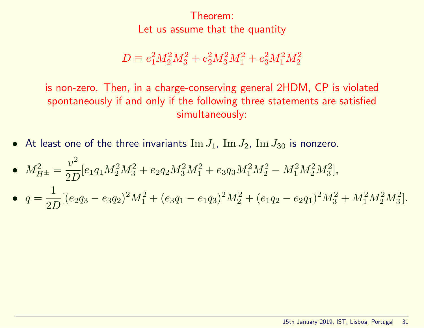Theorem: Let us assume that the quantity

 $D \equiv e_1^2 M_2^2 M_3^2 + e_2^2 M_3^2 M_1^2 + e_3^2 M_1^2 M_2^2$ 

is non-zero. Then, in a charge-conserving general 2HDM, CP is violated spontaneously if and only if the following three statements are satisfied simultaneously:

- At least one of the three invariants  $\text{Im }J_1$ ,  $\text{Im }J_2$ ,  $\text{Im }J_{30}$  is nonzero.
- $M_{H^{\pm}}^2 =$  $v^2$  $2D$  $[e_1q_1M_2^2M_3^2 + e_2q_2M_3^2M_1^2 + e_3q_3M_1^2M_2^2 - M_1^2M_2^2M_3^2],$
- $\bullet$   $q =$ 1 2D  $[(e_2q_3 - e_3q_2)^2M_1^2 + (e_3q_1 - e_1q_3)^2M_2^2 + (e_1q_2 - e_2q_1)^2M_3^2 + M_1^2M_2^2M_3^2].$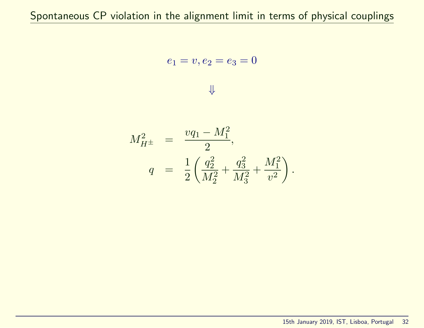$$
e_1 = v, e_2 = e_3 = 0
$$



$$
M_{H^{\pm}}^2 = \frac{vq_1 - M_1^2}{2},
$$
  

$$
q = \frac{1}{2} \left( \frac{q_2^2}{M_2^2} + \frac{q_3^2}{M_3^2} + \frac{M_1^2}{v^2} \right).
$$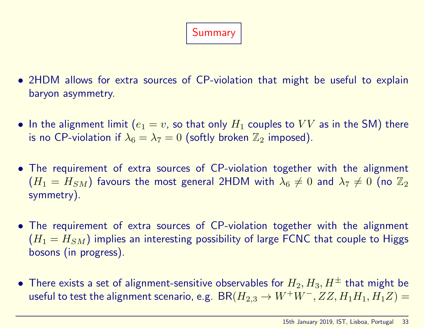# Summary

- 2HDM allows for extra sources of CP-violation that might be useful to explain baryon asymmetry.
- In the alignment limit  $(e_1 = v)$ , so that only  $H_1$  couples to  $VV$  as in the SM) there is no CP-violation if  $\lambda_6 = \lambda_7 = 0$  (softly broken  $\mathbb{Z}_2$  imposed).
- The requirement of extra sources of CP-violation together with the alignment  $(H_1 = H_{SM})$  favours the most general 2HDM with  $\lambda_6 \neq 0$  and  $\lambda_7 \neq 0$  (no  $\mathbb{Z}_2$ symmetry).
- The requirement of extra sources of CP-violation together with the alignment  $(H_1 = H_{SM})$  implies an interesting possibility of large FCNC that couple to Higgs bosons (in progress).
- There exists a set of alignment-sensitive observables for  $H_2, H_3, H^{\pm}$  that might be useful to test the alignment scenario, e.g.  $BR(H_{2,3} \rightarrow W^+W^-, ZZ, H_1H_1, H_1Z) =$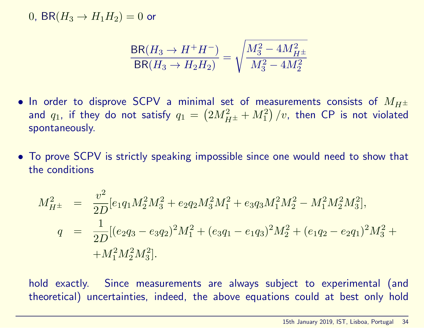0, BR( $H_3 \rightarrow H_1 H_2$ ) = 0 or

$$
\frac{\text{BR}(H_3 \to H^+ H^-)}{\text{BR}(H_3 \to H_2 H_2)} = \sqrt{\frac{M_3^2 - 4M_{H^\pm}^2}{M_3^2 - 4M_2^2}}
$$

- In order to disprove SCPV a minimal set of measurements consists of  $M_{H^{\pm}}$ and  $q_1$ , if they do not satisfy  $q_1 = \left(2 M_{H^\pm}^2 + M_1^2\right)/v$ , then CP is not violated spontaneously.
- To prove SCPV is strictly speaking impossible since one would need to show that the conditions

$$
M_{H^{\pm}}^2 = \frac{v^2}{2D} [e_1 q_1 M_2^2 M_3^2 + e_2 q_2 M_3^2 M_1^2 + e_3 q_3 M_1^2 M_2^2 - M_1^2 M_2^2 M_3^2],
$$
  
\n
$$
q = \frac{1}{2D} [(e_2 q_3 - e_3 q_2)^2 M_1^2 + (e_3 q_1 - e_1 q_3)^2 M_2^2 + (e_1 q_2 - e_2 q_1)^2 M_3^2 +
$$
  
\n
$$
+ M_1^2 M_2^2 M_3^2].
$$

hold exactly. Since measurements are always subject to experimental (and theoretical) uncertainties, indeed, the above equations could at best only hold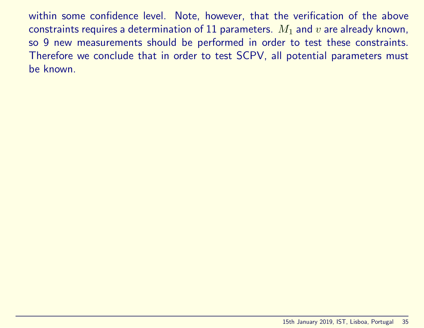within some confidence level. Note, however, that the verification of the above constraints requires a determination of 11 parameters.  $M_1$  and  $v$  are already known, so 9 new measurements should be performed in order to test these constraints. Therefore we conclude that in order to test SCPV, all potential parameters must be known.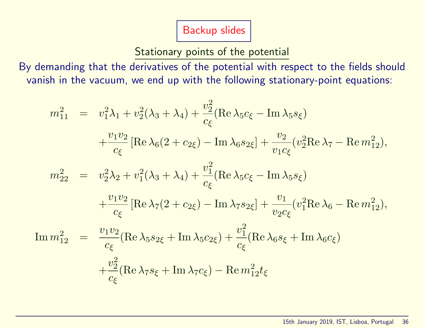Backup slides

### Stationary points of the potential

By demanding that the derivatives of the potential with respect to the fields should vanish in the vacuum, we end up with the following stationary-point equations:

$$
m_{11}^2 = v_1^2 \lambda_1 + v_2^2 (\lambda_3 + \lambda_4) + \frac{v_2^2}{c_{\xi}} (\text{Re } \lambda_5 c_{\xi} - \text{Im } \lambda_5 s_{\xi})
$$
  
\n
$$
+ \frac{v_1 v_2}{c_{\xi}} [\text{Re } \lambda_6 (2 + c_{2\xi}) - \text{Im } \lambda_6 s_{2\xi}] + \frac{v_2}{v_1 c_{\xi}} (v_2^2 \text{Re } \lambda_7 - \text{Re } m_{12}^2),
$$
  
\n
$$
m_{22}^2 = v_2^2 \lambda_2 + v_1^2 (\lambda_3 + \lambda_4) + \frac{v_1^2}{c_{\xi}} (\text{Re } \lambda_5 c_{\xi} - \text{Im } \lambda_5 s_{\xi})
$$
  
\n
$$
+ \frac{v_1 v_2}{c_{\xi}} [\text{Re } \lambda_7 (2 + c_{2\xi}) - \text{Im } \lambda_7 s_{2\xi}] + \frac{v_1}{v_2 c_{\xi}} (v_1^2 \text{Re } \lambda_6 - \text{Re } m_{12}^2),
$$
  
\n
$$
\text{Im } m_{12}^2 = \frac{v_1 v_2}{c_{\xi}} (\text{Re } \lambda_5 s_{2\xi} + \text{Im } \lambda_5 c_{2\xi}) + \frac{v_1^2}{c_{\xi}} (\text{Re } \lambda_6 s_{\xi} + \text{Im } \lambda_6 c_{\xi})
$$
  
\n
$$
+ \frac{v_2^2}{c_{\xi}} (\text{Re } \lambda_7 s_{\xi} + \text{Im } \lambda_7 c_{\xi}) - \text{Re } m_{12}^2 t_{\xi}
$$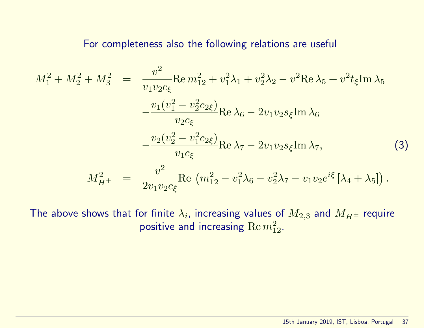#### For completeness also the following relations are useful

$$
M_1^2 + M_2^2 + M_3^2 = \frac{v^2}{v_1 v_2 c_{\xi}} \text{Re} \, m_{12}^2 + v_1^2 \lambda_1 + v_2^2 \lambda_2 - v^2 \text{Re} \, \lambda_5 + v^2 t_{\xi} \text{Im} \, \lambda_5
$$

$$
- \frac{v_1 (v_1^2 - v_2^2 c_{2\xi})}{v_2 c_{\xi}} \text{Re} \, \lambda_6 - 2 v_1 v_2 s_{\xi} \text{Im} \, \lambda_6
$$

$$
- \frac{v_2 (v_2^2 - v_1^2 c_{2\xi})}{v_1 c_{\xi}} \text{Re} \, \lambda_7 - 2 v_1 v_2 s_{\xi} \text{Im} \, \lambda_7,
$$
(3)
$$
M_{H^{\pm}}^2 = \frac{v^2}{2 v_1 v_2 c_{\xi}} \text{Re} \, (m_{12}^2 - v_1^2 \lambda_6 - v_2^2 \lambda_7 - v_1 v_2 e^{i\xi} [\lambda_4 + \lambda_5]).
$$

The above shows that for finite  $\lambda_i$ , increasing values of  $M_{2,3}$  and  $M_{H^\pm}$  require positive and increasing  $\text{Re} \, m_{12}^2$ .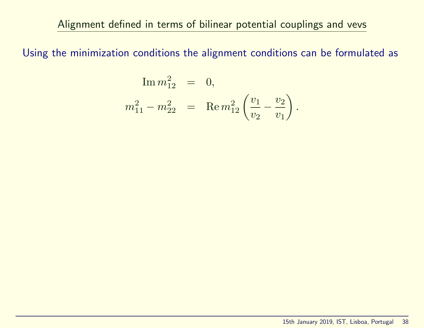Alignment defined in terms of bilinear potential couplings and vevs

Using the minimization conditions the alignment conditions can be formulated as

$$
\begin{array}{rcl}\n\text{Im } m_{12}^2 & = & 0, \\
m_{11}^2 - m_{22}^2 & = & \text{Re } m_{12}^2 \left( \frac{v_1}{v_2} - \frac{v_2}{v_1} \right). \n\end{array}
$$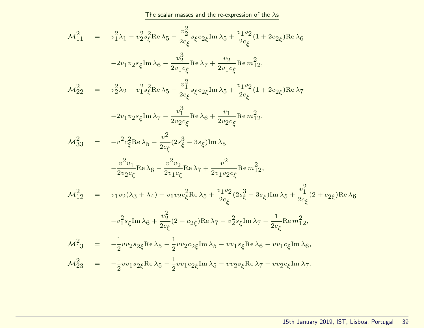The scalar masses and the re-expression of the  $\lambda$ s

$$
\mathcal{M}_{11}^{2} = v_{1}^{2} \lambda_{1} - v_{2}^{2} s_{\xi}^{2} \text{Re} \lambda_{5} - \frac{v_{2}^{2}}{2 c_{\xi}} \varepsilon_{2 \xi} \text{Im} \lambda_{5} + \frac{v_{1} v_{2}}{2 c_{\xi}} (1 + 2 c_{2 \xi}) \text{Re} \lambda_{6}
$$
\n
$$
-2v_{1} v_{2} s_{\xi} \text{Im} \lambda_{6} - \frac{v_{2}^{3}}{2 v_{1} c_{\xi}} \text{Re} \lambda_{7} + \frac{v_{2}}{2 v_{1} c_{\xi}} \text{Re} m_{12}^{2},
$$
\n
$$
\mathcal{M}_{22}^{2} = v_{2}^{2} \lambda_{2} - v_{1}^{2} s_{\xi}^{2} \text{Re} \lambda_{5} - \frac{v_{1}^{2}}{2 c_{\xi}} s_{\xi} c_{2 \xi} \text{Im} \lambda_{5} + \frac{v_{1} v_{2}}{2 c_{\xi}} (1 + 2 c_{2 \xi}) \text{Re} \lambda_{7}
$$
\n
$$
-2v_{1} v_{2} s_{\xi} \text{Im} \lambda_{7} - \frac{v_{1}^{3}}{2 v_{2} c_{\xi}} \text{Re} \lambda_{6} + \frac{v_{1}}{2 v_{2} c_{\xi}} \text{Re} m_{12}^{2},
$$
\n
$$
\mathcal{M}_{33}^{2} = -v_{2}^{2} c_{\xi}^{2} \text{Re} \lambda_{5} - \frac{v_{2}^{2}}{2 c_{\xi}} (2 s_{\xi}^{2} - 3 s_{\xi}) \text{Im} \lambda_{5}
$$
\n
$$
- \frac{v_{2}^{2} v_{1}}{2 v_{2} c_{\xi}} \text{Re} \lambda_{6} - \frac{v_{2}^{2} v_{2}}{2 v_{1} c_{\xi}} \text{Re} \lambda_{7} + \frac{v_{2}^{2}}{2 v_{1} v_{2} c_{\xi}} \text{Re} m_{12}^{2},
$$
\n
$$
\mathcal{M}_{12}^{2} = v_{1} v_{2} (\lambda_{3} + \lambda_{4}) + v_{1} v_{2} c_{\xi}^{2} \text{Re} \lambda_{5} + \frac{v_{1} v_{2}}{2 c
$$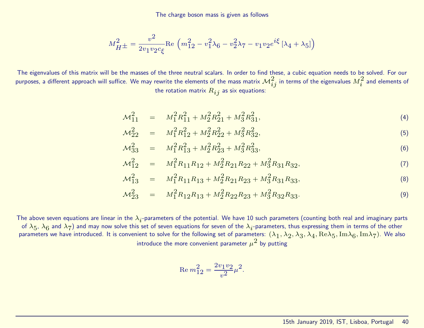The charge boson mass is given as follows

$$
M_{H^{\pm}}^2 = \frac{v^2}{2v_1v_2c_{\xi}} \text{Re}\left(m_{12}^2 - v_1^2\lambda_6 - v_2^2\lambda_7 - v_1v_2e^{i\xi}\left[\lambda_4 + \lambda_5\right]\right)
$$

The eigenvalues of this matrix will be the masses of the three neutral scalars. In order to find these, a cubic equation needs to be solved. For our purposes, a different approach will suffice. We may rewrite the elements of the mass matrix  ${\cal M}_{ij}^2$  in terms of the eigenvalues  $M_i^2$  and elements of the rotation matrix  $R_{ij}$  as six equations:

$$
\mathcal{M}_{11}^2 = M_1^2 R_{11}^2 + M_2^2 R_{21}^2 + M_3^2 R_{31}^2,\tag{4}
$$

$$
\mathcal{M}_{22}^2 = M_1^2 R_{12}^2 + M_2^2 R_{22}^2 + M_3^2 R_{32}^2,\tag{5}
$$

$$
\mathcal{M}_{33}^2 = M_1^2 R_{13}^2 + M_2^2 R_{23}^2 + M_3^2 R_{33}^2,\tag{6}
$$

$$
\mathcal{M}_{12}^2 = M_1^2 R_{11} R_{12} + M_2^2 R_{21} R_{22} + M_3^2 R_{31} R_{32},\tag{7}
$$

$$
\mathcal{M}_{13}^2 = M_1^2 R_{11} R_{13} + M_2^2 R_{21} R_{23} + M_3^2 R_{31} R_{33},\tag{8}
$$

$$
\mathcal{M}_{23}^2 = M_1^2 R_{12} R_{13} + M_2^2 R_{22} R_{23} + M_3^2 R_{32} R_{33}.
$$
\n(9)

The above seven equations are linear in the  $\lambda_i$ -parameters of the potential. We have 10 such parameters (counting both real and imaginary parts of  $\lambda_5$ ,  $\lambda_6$  and  $\lambda_7$ ) and may now solve this set of seven equations for seven of the  $\lambda_i$ -parameters, thus expressing them in terms of the other parameters we have introduced. It is convenient to solve for the following set of parameters:  $(\lambda_1,\lambda_2,\lambda_3,\lambda_4,\mathrm{Re}\lambda_5,\mathrm{Im}\lambda_6,\mathrm{Im}\lambda_7)$ . We also introduce the more convenient parameter  $\mu^2$  by putting

$$
\mathrm{Re} \, m_{12}^2 = \frac{2 v_1 v_2}{v^2} \mu^2
$$

.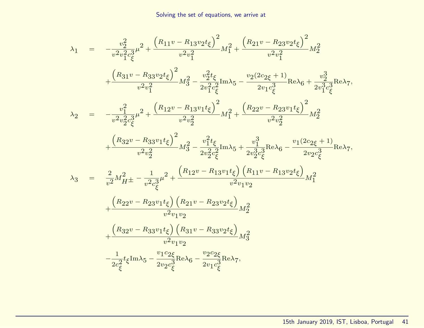$$
\lambda_{1} = -\frac{v_{2}^{2}}{v^{2}v_{1}^{2}c_{\xi}^{3}}\mu^{2} + \frac{(R_{11}v - R_{13}v_{2}t_{\xi})^{2}}{v^{2}v_{1}^{2}}M_{1}^{2} + \frac{(R_{21}v - R_{23}v_{2}t_{\xi})^{2}}{v^{2}v_{1}^{2}}M_{2}^{2}
$$
\n
$$
+ \frac{(R_{31}v - R_{33}v_{2}t_{\xi})^{2}}{v^{2}v_{1}^{2}}M_{3}^{2} - \frac{v_{2}^{2}t_{\xi}}{2v_{1}^{2}c_{\xi}^{2}}\text{Im}\lambda_{5} - \frac{v_{2}(2c_{2\xi} + 1)}{2v_{1}c_{\xi}^{3}}\text{Re}\lambda_{6} + \frac{v_{2}^{3}}{2v_{1}^{3}c_{\xi}^{3}}\text{Re}\lambda_{7},
$$
\n
$$
\lambda_{2} = -\frac{v_{1}^{2}}{v^{2}v_{2}^{2}c_{\xi}^{3}}\mu^{2} + \frac{(R_{12}v - R_{13}v_{1}t_{\xi})^{2}}{v^{2}v_{2}^{2}}M_{1}^{2} + \frac{(R_{22}v - R_{23}v_{1}t_{\xi})^{2}}{v^{2}v_{2}^{2}}M_{2}^{2}
$$
\n
$$
+ \frac{(R_{32}v - R_{33}v_{1}t_{\xi})^{2}}{v^{2}v_{2}^{2}}M_{3}^{2} - \frac{v_{1}^{2}t_{\xi}}{2v_{2}^{2}c_{\xi}^{2}}\text{Im}\lambda_{5} + \frac{v_{1}^{3}}{2v_{2}^{3}c_{\xi}^{3}}\text{Re}\lambda_{6} - \frac{v_{1}(2c_{2\xi} + 1)}{2v_{2}c_{\xi}^{3}}\text{Re}\lambda_{7},
$$
\n
$$
\lambda_{3} = \frac{2}{v^{2}}M_{H}^{2} \pm -\frac{1}{v^{2}c_{\xi}^{3}}\mu^{2} + \frac{(R_{12}v - R_{13}v_{1}t_{\xi}) (R_{11}v - R_{13}v_{2}t_{\xi})}{v^{2}v_{1}v_{2}}M_{1}^{2}
$$
\